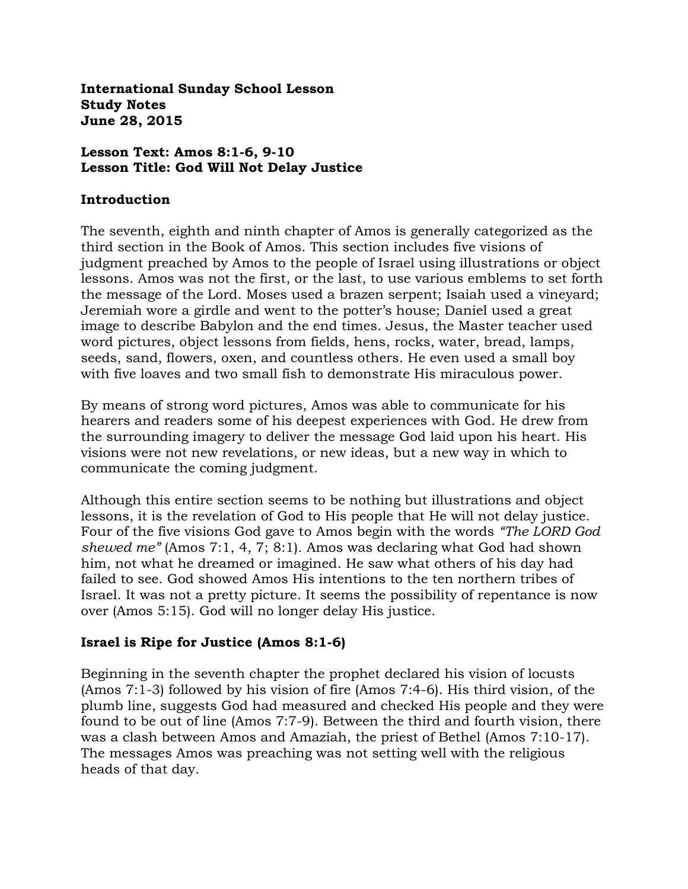**International Sunday School Lesson Study Notes June 28, 2015**

#### **Lesson Text: Amos 8:1-6, 9-10 Lesson Title: God Will Not Delay Justice**

#### **Introduction**

The seventh, eighth and ninth chapter of Amos is generally categorized as the third section in the Book of Amos. This section includes five visions of judgment preached by Amos to the people of Israel using illustrations or object lessons. Amos was not the first, or the last, to use various emblems to set forth the message of the Lord. Moses used a brazen serpent; Isaiah used a vineyard; Jeremiah wore a girdle and went to the potter's house; Daniel used a great image to describe Babylon and the end times. Jesus, the Master teacher used word pictures, object lessons from fields, hens, rocks, water, bread, lamps, seeds, sand, flowers, oxen, and countless others. He even used a small boy with five loaves and two small fish to demonstrate His miraculous power.

By means of strong word pictures, Amos was able to communicate for his hearers and readers some of his deepest experiences with God. He drew from the surrounding imagery to deliver the message God laid upon his heart. His visions were not new revelations, or new ideas, but a new way in which to communicate the coming judgment.

Although this entire section seems to be nothing but illustrations and object lessons, it is the revelation of God to His people that He will not delay justice. Four of the five visions God gave to Amos begin with the words *"The LORD God shewed me"* (Amos 7:1, 4, 7; 8:1). Amos was declaring what God had shown him, not what he dreamed or imagined. He saw what others of his day had failed to see. God showed Amos His intentions to the ten northern tribes of Israel. It was not a pretty picture. It seems the possibility of repentance is now over (Amos 5:15). God will no longer delay His justice.

#### **Israel is Ripe for Justice (Amos 8:1-6)**

Beginning in the seventh chapter the prophet declared his vision of locusts (Amos 7:1-3) followed by his vision of fire (Amos 7:4-6). His third vision, of the plumb line, suggests God had measured and checked His people and they were found to be out of line (Amos 7:7-9). Between the third and fourth vision, there was a clash between Amos and Amaziah, the priest of Bethel (Amos 7:10-17). The messages Amos was preaching was not setting well with the religious heads of that day.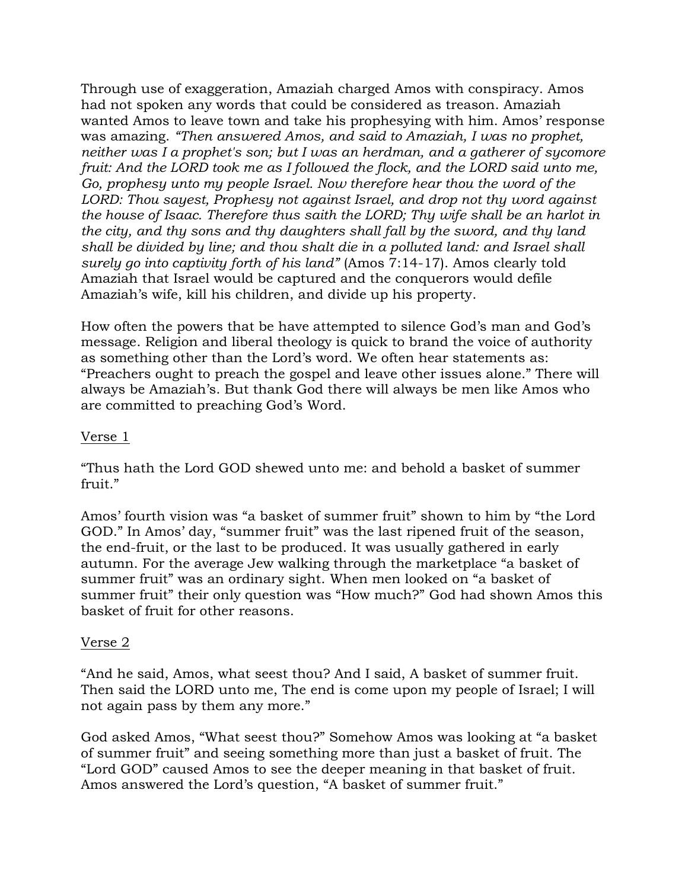Through use of exaggeration, Amaziah charged Amos with conspiracy. Amos had not spoken any words that could be considered as treason. Amaziah wanted Amos to leave town and take his prophesying with him. Amos' response was amazing. *"Then answered Amos, and said to Amaziah, I was no prophet, neither was I a prophet's son; but I was an herdman, and a gatherer of sycomore fruit: And the LORD took me as I followed the flock, and the LORD said unto me, Go, prophesy unto my people Israel. Now therefore hear thou the word of the LORD: Thou sayest, Prophesy not against Israel, and drop not thy word against the house of Isaac. Therefore thus saith the LORD; Thy wife shall be an harlot in the city, and thy sons and thy daughters shall fall by the sword, and thy land shall be divided by line; and thou shalt die in a polluted land: and Israel shall surely go into captivity forth of his land"* (Amos 7:14-17). Amos clearly told Amaziah that Israel would be captured and the conquerors would defile Amaziah's wife, kill his children, and divide up his property.

How often the powers that be have attempted to silence God's man and God's message. Religion and liberal theology is quick to brand the voice of authority as something other than the Lord's word. We often hear statements as: "Preachers ought to preach the gospel and leave other issues alone." There will always be Amaziah's. But thank God there will always be men like Amos who are committed to preaching God's Word.

#### Verse 1

"Thus hath the Lord GOD shewed unto me: and behold a basket of summer fruit."

Amos' fourth vision was "a basket of summer fruit" shown to him by "the Lord GOD." In Amos' day, "summer fruit" was the last ripened fruit of the season, the end-fruit, or the last to be produced. It was usually gathered in early autumn. For the average Jew walking through the marketplace "a basket of summer fruit" was an ordinary sight. When men looked on "a basket of summer fruit" their only question was "How much?" God had shown Amos this basket of fruit for other reasons.

#### Verse 2

"And he said, Amos, what seest thou? And I said, A basket of summer fruit. Then said the LORD unto me, The end is come upon my people of Israel; I will not again pass by them any more."

God asked Amos, "What seest thou?" Somehow Amos was looking at "a basket of summer fruit" and seeing something more than just a basket of fruit. The "Lord GOD" caused Amos to see the deeper meaning in that basket of fruit. Amos answered the Lord's question, "A basket of summer fruit."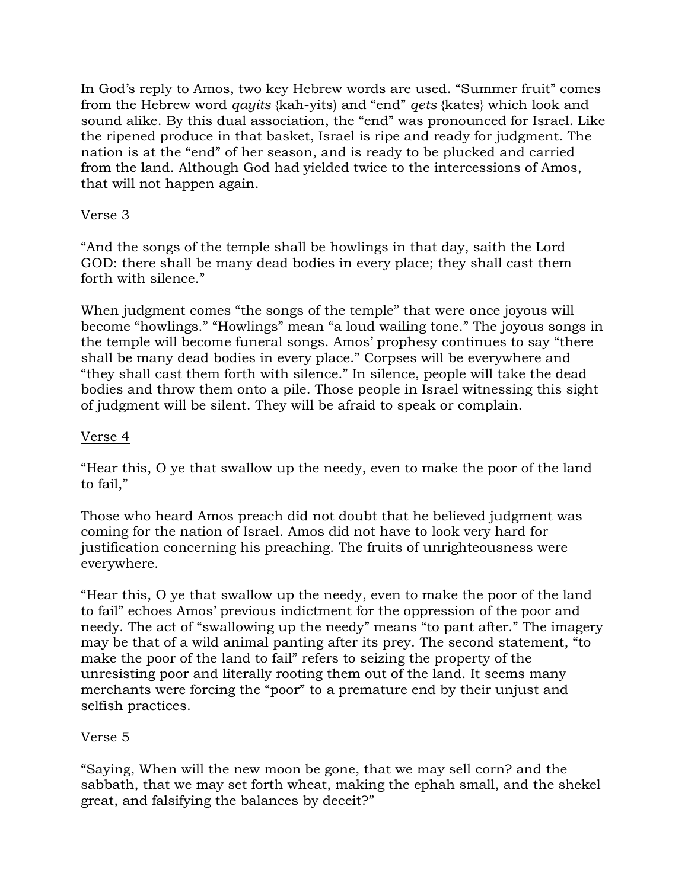In God's reply to Amos, two key Hebrew words are used. "Summer fruit" comes from the Hebrew word *qayits* {kah-yits) and "end" *qets* {kates} which look and sound alike. By this dual association, the "end" was pronounced for Israel. Like the ripened produce in that basket, Israel is ripe and ready for judgment. The nation is at the "end" of her season, and is ready to be plucked and carried from the land. Although God had yielded twice to the intercessions of Amos, that will not happen again.

# Verse 3

"And the songs of the temple shall be howlings in that day, saith the Lord GOD: there shall be many dead bodies in every place; they shall cast them forth with silence."

When judgment comes "the songs of the temple" that were once joyous will become "howlings." "Howlings" mean "a loud wailing tone." The joyous songs in the temple will become funeral songs. Amos' prophesy continues to say "there shall be many dead bodies in every place." Corpses will be everywhere and "they shall cast them forth with silence." In silence, people will take the dead bodies and throw them onto a pile. Those people in Israel witnessing this sight of judgment will be silent. They will be afraid to speak or complain.

# Verse 4

"Hear this, O ye that swallow up the needy, even to make the poor of the land to fail,"

Those who heard Amos preach did not doubt that he believed judgment was coming for the nation of Israel. Amos did not have to look very hard for justification concerning his preaching. The fruits of unrighteousness were everywhere.

"Hear this, O ye that swallow up the needy, even to make the poor of the land to fail" echoes Amos' previous indictment for the oppression of the poor and needy. The act of "swallowing up the needy" means "to pant after." The imagery may be that of a wild animal panting after its prey. The second statement, "to make the poor of the land to fail" refers to seizing the property of the unresisting poor and literally rooting them out of the land. It seems many merchants were forcing the "poor" to a premature end by their unjust and selfish practices.

# Verse 5

"Saying, When will the new moon be gone, that we may sell corn? and the sabbath, that we may set forth wheat, making the ephah small, and the shekel great, and falsifying the balances by deceit?"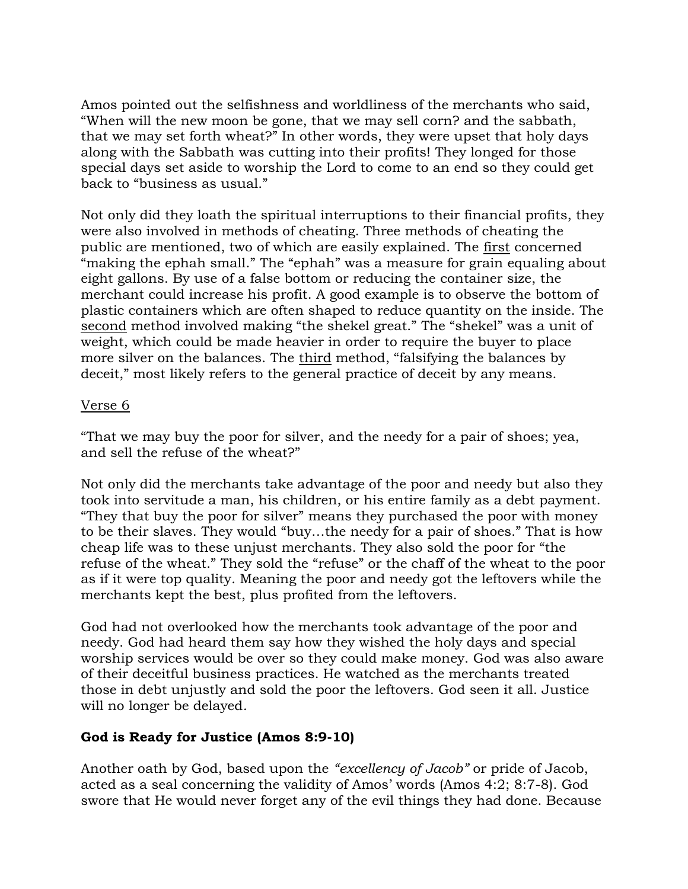Amos pointed out the selfishness and worldliness of the merchants who said, "When will the new moon be gone, that we may sell corn? and the sabbath, that we may set forth wheat?" In other words, they were upset that holy days along with the Sabbath was cutting into their profits! They longed for those special days set aside to worship the Lord to come to an end so they could get back to "business as usual."

Not only did they loath the spiritual interruptions to their financial profits, they were also involved in methods of cheating. Three methods of cheating the public are mentioned, two of which are easily explained. The first concerned "making the ephah small." The "ephah" was a measure for grain equaling about eight gallons. By use of a false bottom or reducing the container size, the merchant could increase his profit. A good example is to observe the bottom of plastic containers which are often shaped to reduce quantity on the inside. The second method involved making "the shekel great." The "shekel" was a unit of weight, which could be made heavier in order to require the buyer to place more silver on the balances. The third method, "falsifying the balances by deceit," most likely refers to the general practice of deceit by any means.

### Verse 6

"That we may buy the poor for silver, and the needy for a pair of shoes; yea, and sell the refuse of the wheat?"

Not only did the merchants take advantage of the poor and needy but also they took into servitude a man, his children, or his entire family as a debt payment. "They that buy the poor for silver" means they purchased the poor with money to be their slaves. They would "buy…the needy for a pair of shoes." That is how cheap life was to these unjust merchants. They also sold the poor for "the refuse of the wheat." They sold the "refuse" or the chaff of the wheat to the poor as if it were top quality. Meaning the poor and needy got the leftovers while the merchants kept the best, plus profited from the leftovers.

God had not overlooked how the merchants took advantage of the poor and needy. God had heard them say how they wished the holy days and special worship services would be over so they could make money. God was also aware of their deceitful business practices. He watched as the merchants treated those in debt unjustly and sold the poor the leftovers. God seen it all. Justice will no longer be delayed.

# **God is Ready for Justice (Amos 8:9-10)**

Another oath by God, based upon the *"excellency of Jacob"* or pride of Jacob, acted as a seal concerning the validity of Amos' words (Amos 4:2; 8:7-8). God swore that He would never forget any of the evil things they had done. Because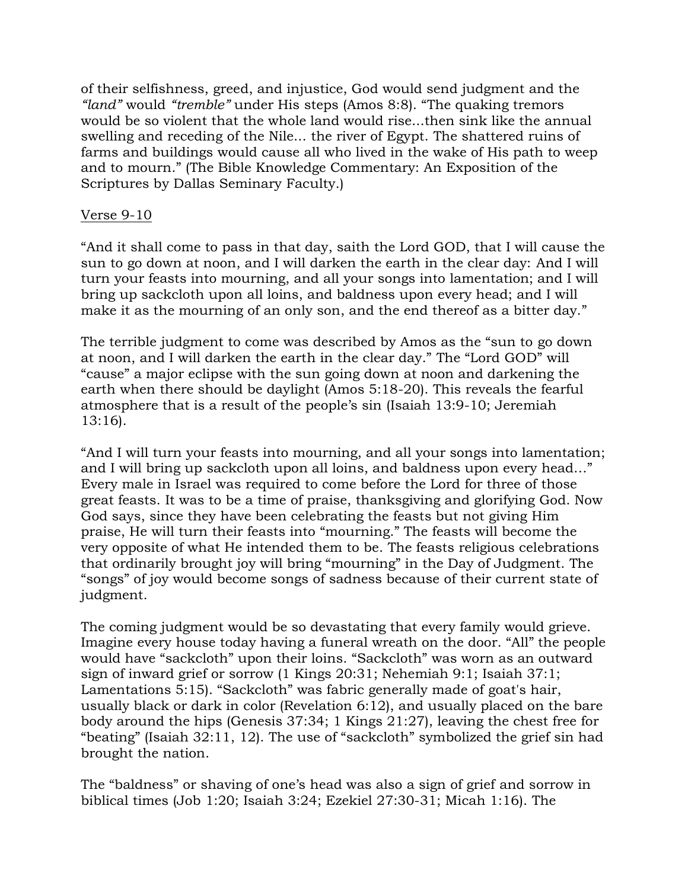of their selfishness, greed, and injustice, God would send judgment and the *"land"* would *"tremble"* under His steps (Amos 8:8). "The quaking tremors would be so violent that the whole land would rise...then sink like the annual swelling and receding of the Nile... the river of Egypt. The shattered ruins of farms and buildings would cause all who lived in the wake of His path to weep and to mourn." (The Bible Knowledge Commentary: An Exposition of the Scriptures by Dallas Seminary Faculty.)

### Verse 9-10

"And it shall come to pass in that day, saith the Lord GOD, that I will cause the sun to go down at noon, and I will darken the earth in the clear day: And I will turn your feasts into mourning, and all your songs into lamentation; and I will bring up sackcloth upon all loins, and baldness upon every head; and I will make it as the mourning of an only son, and the end thereof as a bitter day."

The terrible judgment to come was described by Amos as the "sun to go down at noon, and I will darken the earth in the clear day." The "Lord GOD" will "cause" a major eclipse with the sun going down at noon and darkening the earth when there should be daylight (Amos 5:18-20). This reveals the fearful atmosphere that is a result of the people's sin (Isaiah 13:9-10; Jeremiah 13:16).

"And I will turn your feasts into mourning, and all your songs into lamentation; and I will bring up sackcloth upon all loins, and baldness upon every head…" Every male in Israel was required to come before the Lord for three of those great feasts. It was to be a time of praise, thanksgiving and glorifying God. Now God says, since they have been celebrating the feasts but not giving Him praise, He will turn their feasts into "mourning." The feasts will become the very opposite of what He intended them to be. The feasts religious celebrations that ordinarily brought joy will bring "mourning" in the Day of Judgment. The "songs" of joy would become songs of sadness because of their current state of judgment.

The coming judgment would be so devastating that every family would grieve. Imagine every house today having a funeral wreath on the door. "All" the people would have "sackcloth" upon their loins. "Sackcloth" was worn as an outward sign of inward grief or sorrow (1 Kings 20:31; Nehemiah 9:1; Isaiah 37:1; Lamentations 5:15). "Sackcloth" was fabric generally made of goat's hair, usually black or dark in color (Revelation 6:12), and usually placed on the bare body around the hips (Genesis 37:34; 1 Kings 21:27), leaving the chest free for "beating" (Isaiah 32:11, 12). The use of "sackcloth" symbolized the grief sin had brought the nation.

The "baldness" or shaving of one's head was also a sign of grief and sorrow in biblical times (Job 1:20; Isaiah 3:24; Ezekiel 27:30-31; Micah 1:16). The